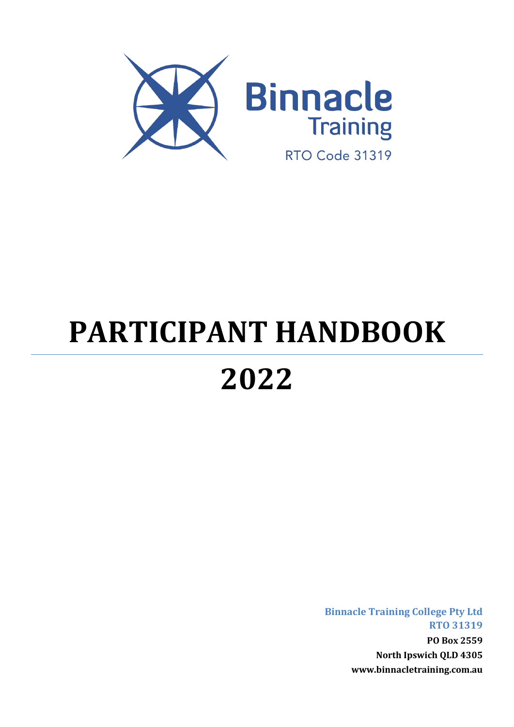

# **PARTICIPANT HANDBOOK**

# **2022**

**Binnacle Training College Pty Ltd RTO 31319 PO Box 2559 North Ipswich QLD 4305 www.binnacletraining.com.au**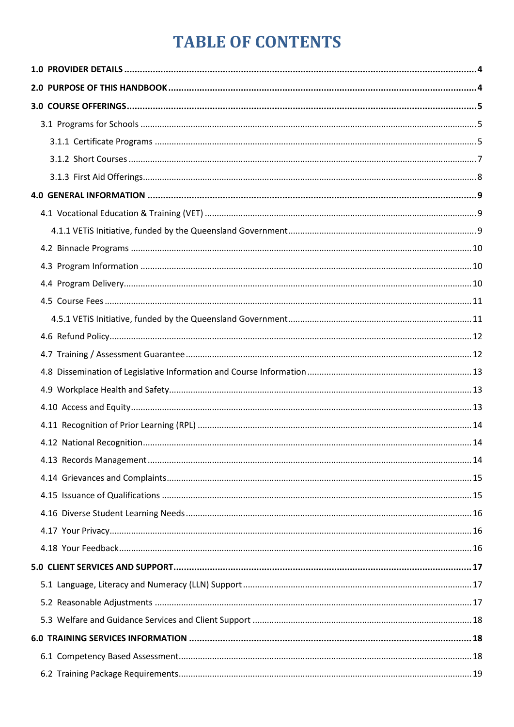# **TABLE OF CONTENTS**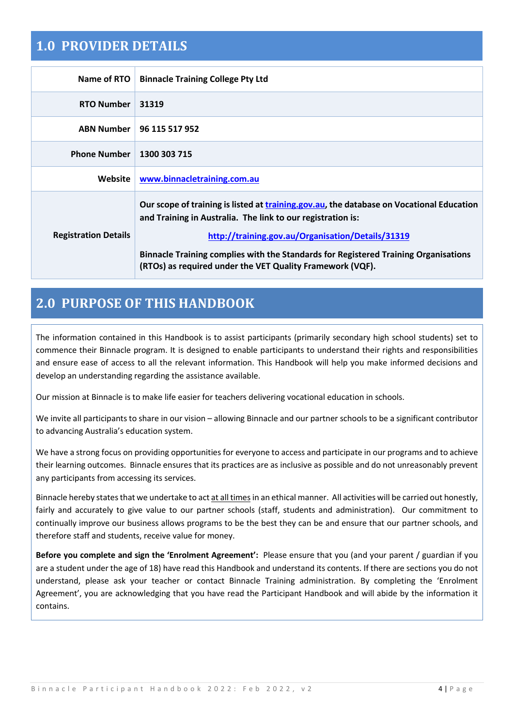### <span id="page-3-0"></span>**1.0 PROVIDER DETAILS**

| Name of RTO                 | <b>Binnacle Training College Pty Ltd</b>                                                                                                                                                                                                                                                                                                                         |
|-----------------------------|------------------------------------------------------------------------------------------------------------------------------------------------------------------------------------------------------------------------------------------------------------------------------------------------------------------------------------------------------------------|
| <b>RTO Number</b>           | 31319                                                                                                                                                                                                                                                                                                                                                            |
| <b>ABN Number</b>           | 96 115 517 952                                                                                                                                                                                                                                                                                                                                                   |
| <b>Phone Number</b>         | 1300 303 715                                                                                                                                                                                                                                                                                                                                                     |
| Website                     | www.binnacletraining.com.au                                                                                                                                                                                                                                                                                                                                      |
| <b>Registration Details</b> | Our scope of training is listed at training gov.au, the database on Vocational Education<br>and Training in Australia. The link to our registration is:<br>http://training.gov.au/Organisation/Details/31319<br>Binnacle Training complies with the Standards for Registered Training Organisations<br>(RTOs) as required under the VET Quality Framework (VQF). |

# <span id="page-3-1"></span>**2.0 PURPOSE OF THIS HANDBOOK**

The information contained in this Handbook is to assist participants (primarily secondary high school students) set to commence their Binnacle program. It is designed to enable participants to understand their rights and responsibilities and ensure ease of access to all the relevant information. This Handbook will help you make informed decisions and develop an understanding regarding the assistance available.

Our mission at Binnacle is to make life easier for teachers delivering vocational education in schools.

We invite all participants to share in our vision – allowing Binnacle and our partner schools to be a significant contributor to advancing Australia's education system.

We have a strong focus on providing opportunities for everyone to access and participate in our programs and to achieve their learning outcomes. Binnacle ensures that its practices are as inclusive as possible and do not unreasonably prevent any participants from accessing its services.

Binnacle hereby states that we undertake to act at all timesin an ethical manner. All activities will be carried out honestly, fairly and accurately to give value to our partner schools (staff, students and administration). Our commitment to continually improve our business allows programs to be the best they can be and ensure that our partner schools, and therefore staff and students, receive value for money.

**Before you complete and sign the 'Enrolment Agreement':** Please ensure that you (and your parent / guardian if you are a student under the age of 18) have read this Handbook and understand its contents. If there are sections you do not understand, please ask your teacher or contact Binnacle Training administration. By completing the 'Enrolment Agreement', you are acknowledging that you have read the Participant Handbook and will abide by the information it contains.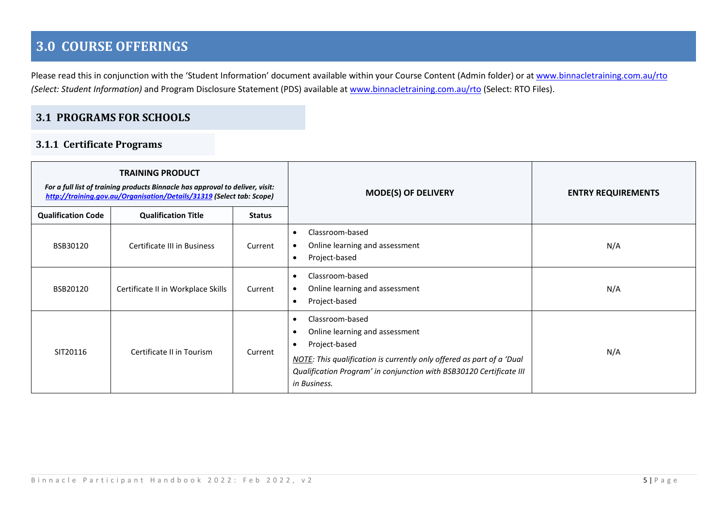# **3.0 COURSE OFFERINGS**

Please read this in conjunction with the 'Student Information' document available within your Course Content (Admin folder) or at [www.binnacletraining.com.au/rto](http://www.binnacletraining.com.au/rto) *(Select: Student Information)* and Program Disclosure Statement (PDS) available at [www.binnacletraining.com.au/rto](http://www.binnacletraining.com.au/rto) (Select: RTO Files).

#### **3.1 PROGRAMS FOR SCHOOLS**

#### **3.1.1 Certificate Programs**

<span id="page-4-2"></span><span id="page-4-1"></span><span id="page-4-0"></span>

| <b>TRAINING PRODUCT</b><br>For a full list of training products Binnacle has approval to deliver, visit:<br>http://training.gov.au/Organisation/Details/31319 (Select tab: Scope) |                                    | <b>MODE(S) OF DELIVERY</b> | <b>ENTRY REQUIREMENTS</b>                                                                                                                                                                                                                                                 |     |
|-----------------------------------------------------------------------------------------------------------------------------------------------------------------------------------|------------------------------------|----------------------------|---------------------------------------------------------------------------------------------------------------------------------------------------------------------------------------------------------------------------------------------------------------------------|-----|
| <b>Qualification Code</b>                                                                                                                                                         | <b>Qualification Title</b>         | <b>Status</b>              |                                                                                                                                                                                                                                                                           |     |
| BSB30120                                                                                                                                                                          | Certificate III in Business        | Current                    | Classroom-based<br>$\bullet$<br>Online learning and assessment<br>$\bullet$<br>Project-based<br>$\bullet$                                                                                                                                                                 | N/A |
| BSB20120                                                                                                                                                                          | Certificate II in Workplace Skills | Current                    | Classroom-based<br>$\bullet$<br>Online learning and assessment<br>$\bullet$<br>Project-based<br>$\bullet$                                                                                                                                                                 | N/A |
| SIT20116                                                                                                                                                                          | Certificate II in Tourism          | Current                    | Classroom-based<br>$\bullet$<br>Online learning and assessment<br>$\bullet$<br>Project-based<br>$\bullet$<br>NOTE: This qualification is currently only offered as part of a 'Dual<br>Qualification Program' in conjunction with BSB30120 Certificate III<br>in Business. | N/A |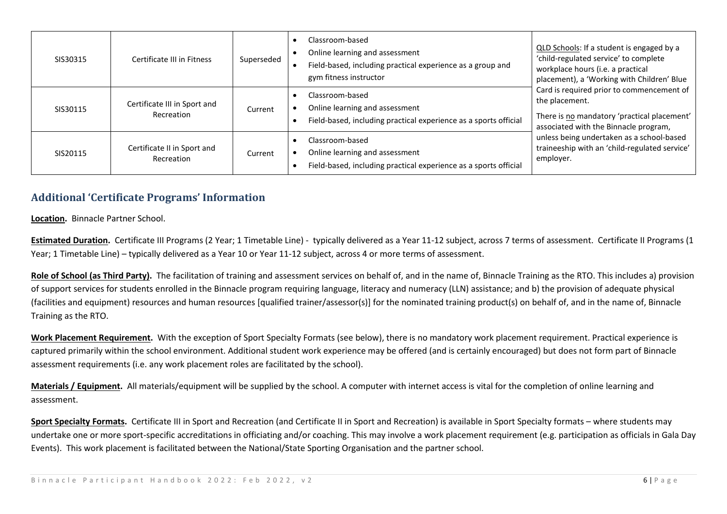| SIS30315 | Certificate III in Fitness                 | Superseded | Classroom-based<br>Online learning and assessment<br>Field-based, including practical experience as a group and<br>gym fitness instructor | QLD Schools: If a student is engaged by a<br>'child-regulated service' to complete<br>workplace hours (i.e. a practical<br>placement), a 'Working with Children' Blue<br>Card is required prior to commencement of<br>the placement.<br>There is no mandatory 'practical placement'<br>associated with the Binnacle program,<br>employer. |
|----------|--------------------------------------------|------------|-------------------------------------------------------------------------------------------------------------------------------------------|-------------------------------------------------------------------------------------------------------------------------------------------------------------------------------------------------------------------------------------------------------------------------------------------------------------------------------------------|
| SIS30115 | Certificate III in Sport and<br>Recreation | Current    | Classroom-based<br>Online learning and assessment<br>Field-based, including practical experience as a sports official                     |                                                                                                                                                                                                                                                                                                                                           |
| SIS20115 | Certificate II in Sport and<br>Recreation  | Current    | Classroom-based<br>Online learning and assessment<br>Field-based, including practical experience as a sports official                     |                                                                                                                                                                                                                                                                                                                                           |

#### **Additional 'Certificate Programs' Information**

**Location.** Binnacle Partner School.

**Estimated Duration.** Certificate III Programs (2 Year; 1 Timetable Line) - typically delivered as a Year 11-12 subject, across 7 terms of assessment. Certificate II Programs (1 Year; 1 Timetable Line) – typically delivered as a Year 10 or Year 11-12 subject, across 4 or more terms of assessment.

Role of School (as Third Party). The facilitation of training and assessment services on behalf of, and in the name of, Binnacle Training as the RTO. This includes a) provision of support services for students enrolled in the Binnacle program requiring language, literacy and numeracy (LLN) assistance; and b) the provision of adequate physical (facilities and equipment) resources and human resources [qualified trainer/assessor(s)] for the nominated training product(s) on behalf of, and in the name of, Binnacle Training as the RTO.

**Work Placement Requirement.** With the exception of Sport Specialty Formats (see below), there is no mandatory work placement requirement. Practical experience is captured primarily within the school environment. Additional student work experience may be offered (and is certainly encouraged) but does not form part of Binnacle assessment requirements (i.e. any work placement roles are facilitated by the school).

**Materials / Equipment.** All materials/equipment will be supplied by the school. A computer with internet access is vital for the completion of online learning and assessment.

**Sport Specialty Formats.** Certificate III in Sport and Recreation (and Certificate II in Sport and Recreation) is available in Sport Specialty formats – where students may undertake one or more sport-specific accreditations in officiating and/or coaching. This may involve a work placement requirement (e.g. participation as officials in Gala Day Events). This work placement is facilitated between the National/State Sporting Organisation and the partner school.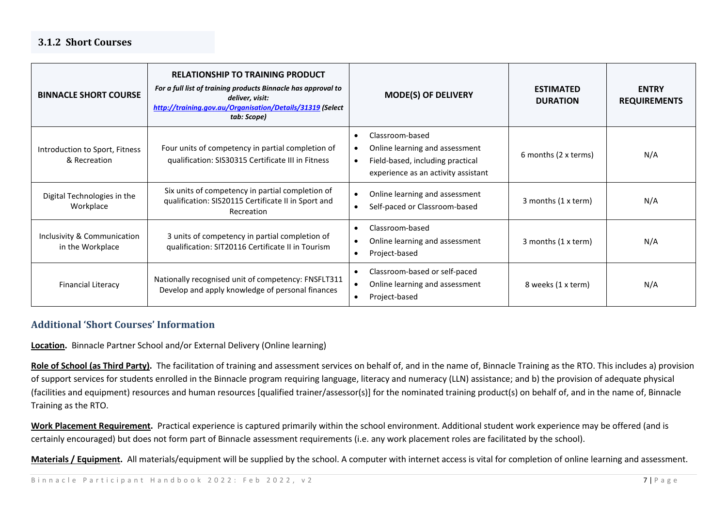#### **3.1.2 Short Courses**

| <b>BINNACLE SHORT COURSE</b>                    | <b>RELATIONSHIP TO TRAINING PRODUCT</b><br>For a full list of training products Binnacle has approval to<br>deliver, visit:<br>http://training.gov.au/Organisation/Details/31319 (Select<br>tab: Scope) | <b>MODE(S) OF DELIVERY</b>                                                                                                                                          | <b>ESTIMATED</b><br><b>DURATION</b> | <b>ENTRY</b><br><b>REQUIREMENTS</b> |
|-------------------------------------------------|---------------------------------------------------------------------------------------------------------------------------------------------------------------------------------------------------------|---------------------------------------------------------------------------------------------------------------------------------------------------------------------|-------------------------------------|-------------------------------------|
| Introduction to Sport, Fitness<br>& Recreation  | Four units of competency in partial completion of<br>qualification: SIS30315 Certificate III in Fitness                                                                                                 | Classroom-based<br>$\bullet$<br>Online learning and assessment<br>$\bullet$<br>Field-based, including practical<br>$\bullet$<br>experience as an activity assistant | 6 months (2 x terms)                | N/A                                 |
| Digital Technologies in the<br>Workplace        | Six units of competency in partial completion of<br>qualification: SIS20115 Certificate II in Sport and<br>Recreation                                                                                   | Online learning and assessment<br>$\bullet$<br>Self-paced or Classroom-based<br>$\bullet$                                                                           | 3 months (1 x term)                 | N/A                                 |
| Inclusivity & Communication<br>in the Workplace | 3 units of competency in partial completion of<br>qualification: SIT20116 Certificate II in Tourism                                                                                                     | Classroom-based<br>$\bullet$<br>Online learning and assessment<br>$\bullet$<br>Project-based<br>$\bullet$                                                           | 3 months (1 x term)                 | N/A                                 |
| <b>Financial Literacy</b>                       | Nationally recognised unit of competency: FNSFLT311<br>Develop and apply knowledge of personal finances                                                                                                 | Classroom-based or self-paced<br>$\bullet$<br>Online learning and assessment<br>$\bullet$<br>Project-based<br>$\bullet$                                             | 8 weeks (1 x term)                  | N/A                                 |

#### <span id="page-6-0"></span>**Additional 'Short Courses' Information**

**Location.** Binnacle Partner School and/or External Delivery (Online learning)

Role of School (as Third Party). The facilitation of training and assessment services on behalf of, and in the name of, Binnacle Training as the RTO. This includes a) provision of support services for students enrolled in the Binnacle program requiring language, literacy and numeracy (LLN) assistance; and b) the provision of adequate physical (facilities and equipment) resources and human resources [qualified trainer/assessor(s)] for the nominated training product(s) on behalf of, and in the name of, Binnacle Training as the RTO.

**Work Placement Requirement.** Practical experience is captured primarily within the school environment. Additional student work experience may be offered (and is certainly encouraged) but does not form part of Binnacle assessment requirements (i.e. any work placement roles are facilitated by the school).

Materials / Equipment. All materials/equipment will be supplied by the school. A computer with internet access is vital for completion of online learning and assessment.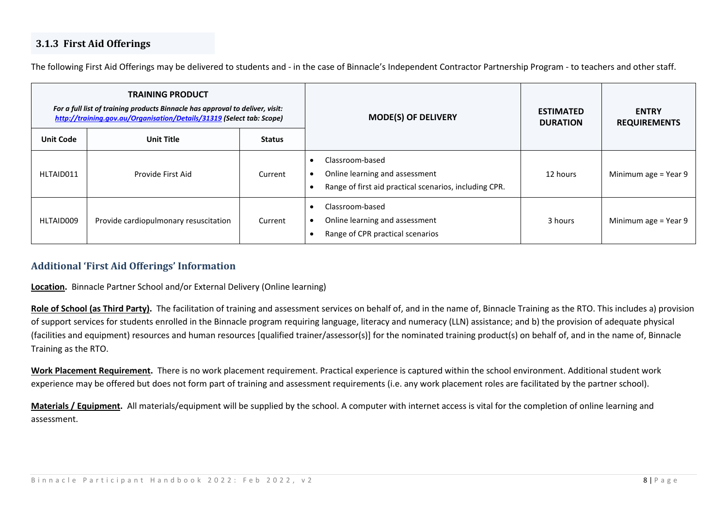#### **3.1.3 First Aid Offerings**

The following First Aid Offerings may be delivered to students and - in the case of Binnacle's Independent Contractor Partnership Program - to teachers and other staff.

| <b>TRAINING PRODUCT</b><br>For a full list of training products Binnacle has approval to deliver, visit:<br>http://training.gov.au/Organisation/Details/31319 (Select tab: Scope) |                                       | <b>MODE(S) OF DELIVERY</b> | <b>ESTIMATED</b><br><b>DURATION</b>                                                                         | <b>ENTRY</b><br><b>REQUIREMENTS</b> |                      |
|-----------------------------------------------------------------------------------------------------------------------------------------------------------------------------------|---------------------------------------|----------------------------|-------------------------------------------------------------------------------------------------------------|-------------------------------------|----------------------|
| <b>Unit Code</b>                                                                                                                                                                  | <b>Unit Title</b>                     | <b>Status</b>              |                                                                                                             |                                     |                      |
| HLTAID011                                                                                                                                                                         | Provide First Aid                     | Current                    | Classroom-based<br>Online learning and assessment<br>Range of first aid practical scenarios, including CPR. | 12 hours                            | Minimum age = Year 9 |
| HLTAID009                                                                                                                                                                         | Provide cardiopulmonary resuscitation | Current                    | Classroom-based<br>Online learning and assessment<br>Range of CPR practical scenarios                       | 3 hours                             | Minimum age = Year 9 |

#### <span id="page-7-0"></span>**Additional 'First Aid Offerings' Information**

**Location.** Binnacle Partner School and/or External Delivery (Online learning)

Role of School (as Third Party). The facilitation of training and assessment services on behalf of, and in the name of, Binnacle Training as the RTO. This includes a) provision of support services for students enrolled in the Binnacle program requiring language, literacy and numeracy (LLN) assistance; and b) the provision of adequate physical (facilities and equipment) resources and human resources [qualified trainer/assessor(s)] for the nominated training product(s) on behalf of, and in the name of, Binnacle Training as the RTO.

**Work Placement Requirement.** There is no work placement requirement. Practical experience is captured within the school environment. Additional student work experience may be offered but does not form part of training and assessment requirements (i.e. any work placement roles are facilitated by the partner school).

**Materials / Equipment.** All materials/equipment will be supplied by the school. A computer with internet access is vital for the completion of online learning and assessment.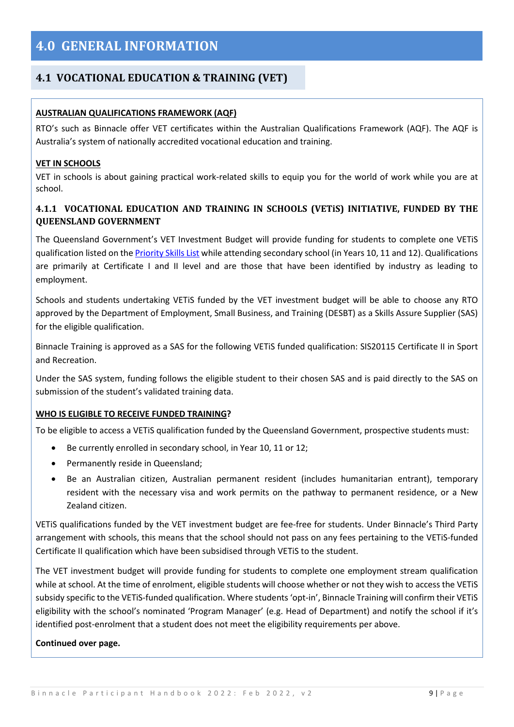#### <span id="page-8-1"></span><span id="page-8-0"></span>**4.1 VOCATIONAL EDUCATION & TRAINING (VET)**

#### **AUSTRALIAN QUALIFICATIONS FRAMEWORK (AQF)**

RTO's such as Binnacle offer VET certificates within the Australian Qualifications Framework (AQF). The AQF is Australia's system of nationally accredited vocational education and training.

#### **VET IN SCHOOLS**

VET in schools is about gaining practical work-related skills to equip you for the world of work while you are at school.

#### <span id="page-8-2"></span>**4.1.1 VOCATIONAL EDUCATION AND TRAINING IN SCHOOLS (VETiS) INITIATIVE, FUNDED BY THE QUEENSLAND GOVERNMENT**

The Queensland Government's VET Investment Budget will provide funding for students to complete one VETiS qualification listed on th[e Priority Skills List](https://desbt.qld.gov.au/training/docs-data/strategies/vetinvest/subsidieslist) while attending secondary school (in Years 10, 11 and 12). Qualifications are primarily at Certificate I and II level and are those that have been identified by industry as leading to employment.

Schools and students undertaking VETiS funded by the VET investment budget will be able to choose any RTO approved by the Department of Employment, Small Business, and Training (DESBT) as a Skills Assure Supplier (SAS) for the eligible qualification.

Binnacle Training is approved as a SAS for the following VETiS funded qualification: SIS20115 Certificate II in Sport and Recreation.

Under the SAS system, funding follows the eligible student to their chosen SAS and is paid directly to the SAS on submission of the student's validated training data.

#### **WHO IS ELIGIBLE TO RECEIVE FUNDED TRAINING?**

To be eligible to access a VETiS qualification funded by the Queensland Government, prospective students must:

- Be currently enrolled in secondary school, in Year 10, 11 or 12;
- Permanently reside in Queensland;
- Be an Australian citizen, Australian permanent resident (includes humanitarian entrant), temporary resident with the necessary visa and work permits on the pathway to permanent residence, or a New Zealand citizen.

VETiS qualifications funded by the VET investment budget are fee-free for students. Under Binnacle's Third Party arrangement with schools, this means that the school should not pass on any fees pertaining to the VETiS-funded Certificate II qualification which have been subsidised through VETiS to the student.

The VET investment budget will provide funding for students to complete one employment stream qualification while at school. At the time of enrolment, eligible students will choose whether or not they wish to access the VETiS subsidy specific to the VETiS-funded qualification. Where students 'opt-in', Binnacle Training will confirm their VETiS eligibility with the school's nominated 'Program Manager' (e.g. Head of Department) and notify the school if it's identified post-enrolment that a student does not meet the eligibility requirements per above.

#### **Continued over page.**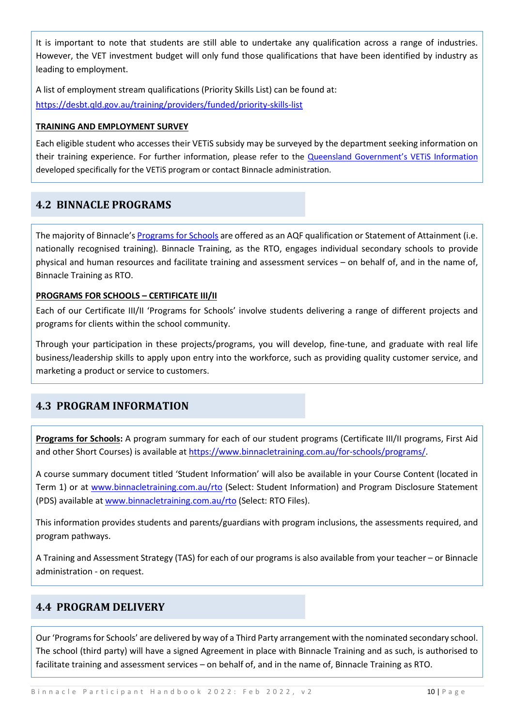It is important to note that students are still able to undertake any qualification across a range of industries. However, the VET investment budget will only fund those qualifications that have been identified by industry as leading to employment.

A list of employment stream qualifications (Priority Skills List) can be found at: <https://desbt.qld.gov.au/training/providers/funded/priority-skills-list>

#### **TRAINING AND EMPLOYMENT SURVEY**

Each eligible student who accesses their VETiS subsidy may be surveyed by the department seeking information on their training experience. For further information, please refer to the [Queensland Government's VETiS Information](https://desbt.qld.gov.au/training/providers/funded/vetis) developed specifically for the VETiS program or contact Binnacle administration.

#### <span id="page-9-0"></span>**4.2 BINNACLE PROGRAMS**

The majority of Binnacle's [Programs for Schools](https://www.binnacletraining.com.au/for-schools/programs/) are offered as an AQF qualification or Statement of Attainment (i.e. nationally recognised training). Binnacle Training, as the RTO, engages individual secondary schools to provide physical and human resources and facilitate training and assessment services – on behalf of, and in the name of, Binnacle Training as RTO.

#### **PROGRAMS FOR SCHOOLS – CERTIFICATE III/II**

Each of our Certificate III/II 'Programs for Schools' involve students delivering a range of different projects and programs for clients within the school community.

Through your participation in these projects/programs, you will develop, fine-tune, and graduate with real life business/leadership skills to apply upon entry into the workforce, such as providing quality customer service, and marketing a product or service to customers.

#### <span id="page-9-1"></span>**4.3 PROGRAM INFORMATION**

**Programs for Schools:** A program summary for each of our student programs (Certificate III/II programs, First Aid and other Short Courses) is available at [https://www.binnacletraining.com.au/for-schools/programs/.](https://www.binnacletraining.com.au/for-schools/programs/)

A course summary document titled 'Student Information' will also be available in your Course Content (located in Term 1) or at [www.binnacletraining.com.au/rto](http://www.binnacletraining.com.au/rto) (Select: Student Information) and Program Disclosure Statement (PDS) available at [www.binnacletraining.com.au/rto](http://www.binnacletraining.com.au/rto) (Select: RTO Files).

This information provides students and parents/guardians with program inclusions, the assessments required, and program pathways.

A Training and Assessment Strategy (TAS) for each of our programs is also available from your teacher – or Binnacle administration - on request.

#### <span id="page-9-2"></span>**4.4 PROGRAM DELIVERY**

Our 'Programs for Schools' are delivered by way of a Third Party arrangement with the nominated secondary school. The school (third party) will have a signed Agreement in place with Binnacle Training and as such, is authorised to facilitate training and assessment services – on behalf of, and in the name of, Binnacle Training as RTO.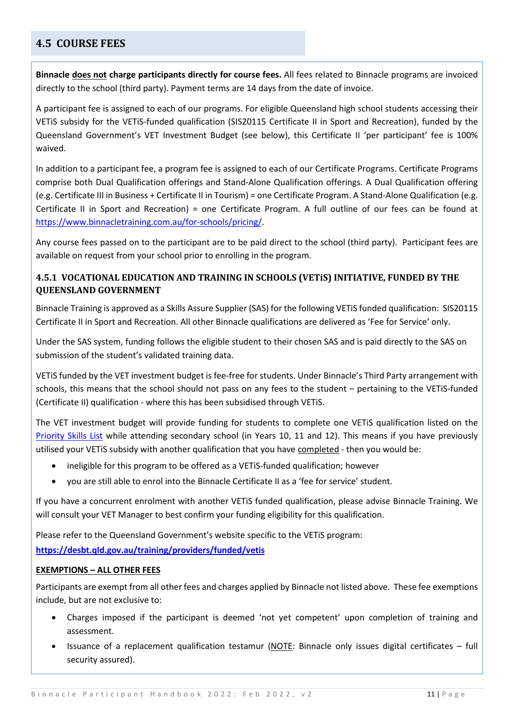#### <span id="page-10-0"></span>**4.5 COURSE FEES**

**Binnacle does not charge participants directly for course fees.** All fees related to Binnacle programs are invoiced directly to the school (third party). Payment terms are 14 days from the date of invoice.

A participant fee is assigned to each of our programs. For eligible Queensland high school students accessing their VETiS subsidy for the VETiS-funded qualification (SIS20115 Certificate II in Sport and Recreation), funded by the Queensland Government's VET Investment Budget (see below), this Certificate II 'per participant' fee is 100% waived.

In addition to a participant fee, a program fee is assigned to each of our Certificate Programs. Certificate Programs comprise both Dual Qualification offerings and Stand-Alone Qualification offerings. A Dual Qualification offering (e.g. Certificate III in Business + Certificate II in Tourism) = one Certificate Program. A Stand-Alone Qualification (e.g. Certificate II in Sport and Recreation) = one Certificate Program. A full outline of our fees can be found at [https://www.binnacletraining.com.au/for-schools/pricing/.](https://www.binnacletraining.com.au/for-schools/pricing/)

Any course fees passed on to the participant are to be paid direct to the school (third party). Participant fees are available on request from your school prior to enrolling in the program.

#### <span id="page-10-1"></span>**4.5.1 VOCATIONAL EDUCATION AND TRAINING IN SCHOOLS (VETiS) INITIATIVE, FUNDED BY THE QUEENSLAND GOVERNMENT**

Binnacle Training is approved as a Skills Assure Supplier (SAS) for the following VETiS funded qualification: SIS20115 Certificate II in Sport and Recreation. All other Binnacle qualifications are delivered as 'Fee for Service' only.

Under the SAS system, funding follows the eligible student to their chosen SAS and is paid directly to the SAS on submission of the student's validated training data.

VETiS funded by the VET investment budget is fee-free for students. Under Binnacle's Third Party arrangement with schools, this means that the school should not pass on any fees to the student – pertaining to the VETiS-funded (Certificate II) qualification - where this has been subsidised through VETiS.

The VET investment budget will provide funding for students to complete one VETiS qualification listed on the [Priority Skills List](https://desbt.qld.gov.au/training/providers/funded/priority-skills-list) while attending secondary school (in Years 10, 11 and 12). This means if you have previously utilised your VETiS subsidy with another qualification that you have completed - then you would be:

- ineligible for this program to be offered as a VETiS-funded qualification; however
- you are still able to enrol into the Binnacle Certificate II as a 'fee for service' student.

If you have a concurrent enrolment with another VETiS funded qualification, please advise Binnacle Training. We will consult your VET Manager to best confirm your funding eligibility for this qualification.

Please refer to the Queensland Government's website specific to the VETiS program:

**https://desbt.qld.gov.au/training/providers/funded/vetis**

#### **EXEMPTIONS – ALL OTHER FEES**

Participants are exempt from all other fees and charges applied by Binnacle not listed above. These fee exemptions include, but are not exclusive to:

- Charges imposed if the participant is deemed 'not yet competent' upon completion of training and assessment.
- Issuance of a replacement qualification testamur (NOTE: Binnacle only issues digital certificates full security assured).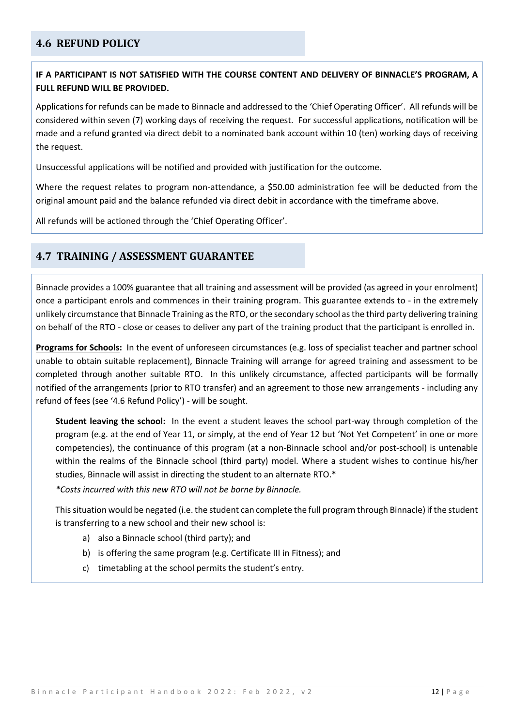#### <span id="page-11-0"></span>**4.6 REFUND POLICY**

#### **IF A PARTICIPANT IS NOT SATISFIED WITH THE COURSE CONTENT AND DELIVERY OF BINNACLE'S PROGRAM, A FULL REFUND WILL BE PROVIDED.**

Applications for refunds can be made to Binnacle and addressed to the 'Chief Operating Officer'. All refunds will be considered within seven (7) working days of receiving the request. For successful applications, notification will be made and a refund granted via direct debit to a nominated bank account within 10 (ten) working days of receiving the request.

Unsuccessful applications will be notified and provided with justification for the outcome.

Where the request relates to program non-attendance, a \$50.00 administration fee will be deducted from the original amount paid and the balance refunded via direct debit in accordance with the timeframe above.

All refunds will be actioned through the 'Chief Operating Officer'.

#### <span id="page-11-1"></span>**4.7 TRAINING / ASSESSMENT GUARANTEE**

Binnacle provides a 100% guarantee that all training and assessment will be provided (as agreed in your enrolment) once a participant enrols and commences in their training program. This guarantee extends to - in the extremely unlikely circumstance that Binnacle Training as the RTO, or the secondary school as the third party delivering training on behalf of the RTO - close or ceases to deliver any part of the training product that the participant is enrolled in.

**Programs for Schools:** In the event of unforeseen circumstances (e.g. loss of specialist teacher and partner school unable to obtain suitable replacement), Binnacle Training will arrange for agreed training and assessment to be completed through another suitable RTO. In this unlikely circumstance, affected participants will be formally notified of the arrangements (prior to RTO transfer) and an agreement to those new arrangements - including any refund of fees (see '4.6 Refund Policy') - will be sought.

**Student leaving the school:** In the event a student leaves the school part-way through completion of the program (e.g. at the end of Year 11, or simply, at the end of Year 12 but 'Not Yet Competent' in one or more competencies), the continuance of this program (at a non-Binnacle school and/or post-school) is untenable within the realms of the Binnacle school (third party) model. Where a student wishes to continue his/her studies, Binnacle will assist in directing the student to an alternate RTO.\*

*\*Costs incurred with this new RTO will not be borne by Binnacle.*

This situation would be negated (i.e. the student can complete the full program through Binnacle) if the student is transferring to a new school and their new school is:

- a) also a Binnacle school (third party); and
- b) is offering the same program (e.g. Certificate III in Fitness); and
- c) timetabling at the school permits the student's entry.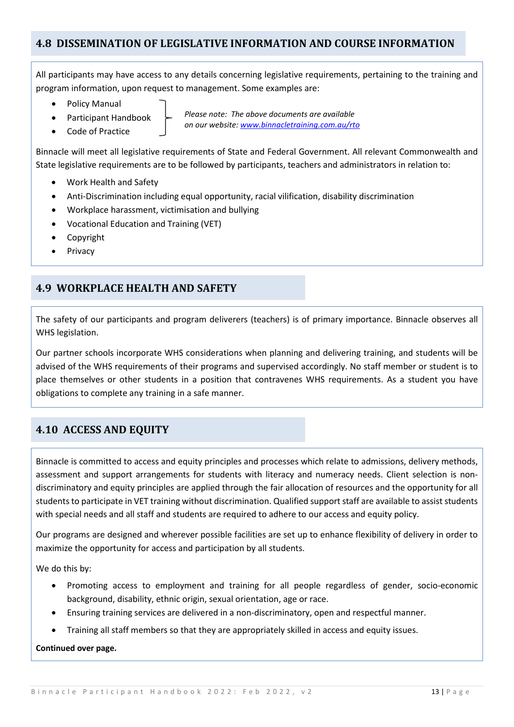#### <span id="page-12-0"></span>**4.8 DISSEMINATION OF LEGISLATIVE INFORMATION AND COURSE INFORMATION**

All participants may have access to any details concerning legislative requirements, pertaining to the training and program information, upon request to management. Some examples are:

- Policy Manual
- Participant Handbook
- Code of Practice

*Please note: The above documents are available on our website: www.binnacletraining.com.au/rto*

Binnacle will meet all legislative requirements of State and Federal Government. All relevant Commonwealth and State legislative requirements are to be followed by participants, teachers and administrators in relation to:

- Work Health and Safety
- Anti-Discrimination including equal opportunity, racial vilification, disability discrimination
- Workplace harassment, victimisation and bullying
- Vocational Education and Training (VET)
- Copyright
- **Privacy**

#### <span id="page-12-1"></span>**4.9 WORKPLACE HEALTH AND SAFETY**

The safety of our participants and program deliverers (teachers) is of primary importance. Binnacle observes all WHS legislation.

Our partner schools incorporate WHS considerations when planning and delivering training, and students will be advised of the WHS requirements of their programs and supervised accordingly. No staff member or student is to place themselves or other students in a position that contravenes WHS requirements. As a student you have obligations to complete any training in a safe manner.

#### <span id="page-12-2"></span>**4.10 ACCESS AND EQUITY**

Binnacle is committed to access and equity principles and processes which relate to admissions, delivery methods, assessment and support arrangements for students with literacy and numeracy needs. Client selection is nondiscriminatory and equity principles are applied through the fair allocation of resources and the opportunity for all students to participate in VET training without discrimination. Qualified support staff are available to assist students with special needs and all staff and students are required to adhere to our access and equity policy.

Our programs are designed and wherever possible facilities are set up to enhance flexibility of delivery in order to maximize the opportunity for access and participation by all students.

We do this by:

- Promoting access to employment and training for all people regardless of gender, socio-economic background, disability, ethnic origin, sexual orientation, age or race.
- Ensuring training services are delivered in a non-discriminatory, open and respectful manner.
- Training all staff members so that they are appropriately skilled in access and equity issues.

#### **Continued over page.**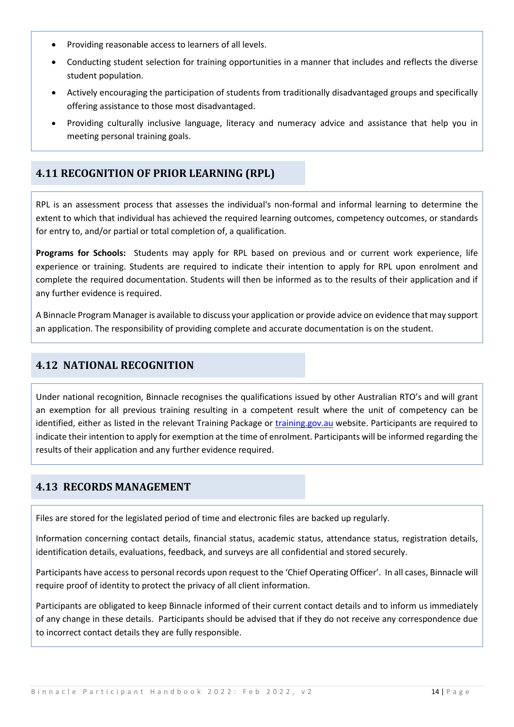- Providing reasonable access to learners of all levels.
- Conducting student selection for training opportunities in a manner that includes and reflects the diverse student population.
- Actively encouraging the participation of students from traditionally disadvantaged groups and specifically offering assistance to those most disadvantaged.
- Providing culturally inclusive language, literacy and numeracy advice and assistance that help you in meeting personal training goals.

#### <span id="page-13-0"></span>**4.11 RECOGNITION OF PRIOR LEARNING (RPL)**

RPL is an assessment process that assesses the individual's non-formal and informal learning to determine the extent to which that individual has achieved the required learning outcomes, competency outcomes, or standards for entry to, and/or partial or total completion of, a qualification.

**Programs for Schools:** Students may apply for RPL based on previous and or current work experience, life experience or training. Students are required to indicate their intention to apply for RPL upon enrolment and complete the required documentation. Students will then be informed as to the results of their application and if any further evidence is required.

A Binnacle Program Manager is available to discuss your application or provide advice on evidence that may support an application. The responsibility of providing complete and accurate documentation is on the student.

#### <span id="page-13-1"></span>**4.12 NATIONAL RECOGNITION**

Under national recognition, Binnacle recognises the qualifications issued by other Australian RTO's and will grant an exemption for all previous training resulting in a competent result where the unit of competency can be identified, either as listed in the relevant Training Package or training gov. au website. Participants are required to indicate their intention to apply for exemption at the time of enrolment. Participants will be informed regarding the results of their application and any further evidence required.

#### <span id="page-13-2"></span>**4.13 RECORDS MANAGEMENT**

Files are stored for the legislated period of time and electronic files are backed up regularly.

Information concerning contact details, financial status, academic status, attendance status, registration details, identification details, evaluations, feedback, and surveys are all confidential and stored securely.

Participants have access to personal records upon request to the 'Chief Operating Officer'. In all cases, Binnacle will require proof of identity to protect the privacy of all client information.

Participants are obligated to keep Binnacle informed of their current contact details and to inform us immediately of any change in these details. Participants should be advised that if they do not receive any correspondence due to incorrect contact details they are fully responsible.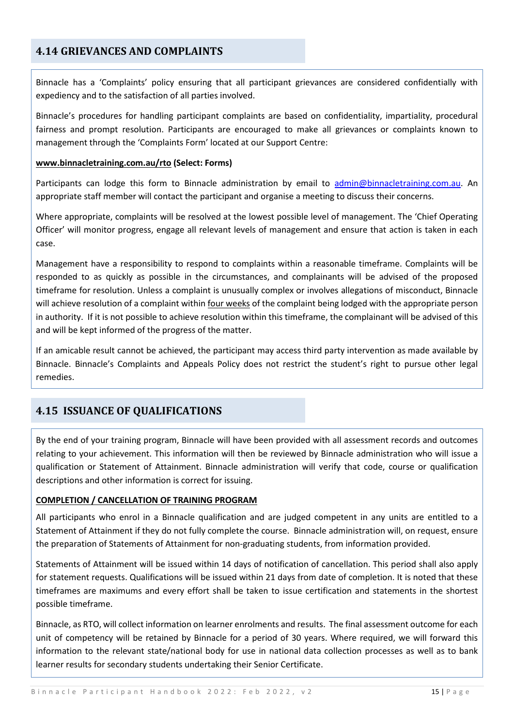#### <span id="page-14-0"></span>**4.14 GRIEVANCES AND COMPLAINTS**

Binnacle has a 'Complaints' policy ensuring that all participant grievances are considered confidentially with expediency and to the satisfaction of all parties involved.

Binnacle's procedures for handling participant complaints are based on confidentiality, impartiality, procedural fairness and prompt resolution. Participants are encouraged to make all grievances or complaints known to management through the 'Complaints Form' located at our Support Centre:

#### **[www.binnacletraining.com.au/rto](http://www.binnacletraining.com.au/rto) (Select: Forms)**

Participants can lodge this form to Binnacle administration by email to [admin@binnacletraining.com.au.](mailto:admin@binnacletraining.com.au) An appropriate staff member will contact the participant and organise a meeting to discuss their concerns.

Where appropriate, complaints will be resolved at the lowest possible level of management. The 'Chief Operating Officer' will monitor progress, engage all relevant levels of management and ensure that action is taken in each case.

Management have a responsibility to respond to complaints within a reasonable timeframe. Complaints will be responded to as quickly as possible in the circumstances, and complainants will be advised of the proposed timeframe for resolution. Unless a complaint is unusually complex or involves allegations of misconduct, Binnacle will achieve resolution of a complaint within four weeks of the complaint being lodged with the appropriate person in authority. If it is not possible to achieve resolution within this timeframe, the complainant will be advised of this and will be kept informed of the progress of the matter.

If an amicable result cannot be achieved, the participant may access third party intervention as made available by Binnacle. Binnacle's Complaints and Appeals Policy does not restrict the student's right to pursue other legal remedies.

#### <span id="page-14-1"></span>**4.15 ISSUANCE OF QUALIFICATIONS**

By the end of your training program, Binnacle will have been provided with all assessment records and outcomes relating to your achievement. This information will then be reviewed by Binnacle administration who will issue a qualification or Statement of Attainment. Binnacle administration will verify that code, course or qualification descriptions and other information is correct for issuing.

#### **COMPLETION / CANCELLATION OF TRAINING PROGRAM**

All participants who enrol in a Binnacle qualification and are judged competent in any units are entitled to a Statement of Attainment if they do not fully complete the course. Binnacle administration will, on request, ensure the preparation of Statements of Attainment for non-graduating students, from information provided.

Statements of Attainment will be issued within 14 days of notification of cancellation. This period shall also apply for statement requests. Qualifications will be issued within 21 days from date of completion. It is noted that these timeframes are maximums and every effort shall be taken to issue certification and statements in the shortest possible timeframe.

Binnacle, as RTO, will collect information on learner enrolments and results. The final assessment outcome for each unit of competency will be retained by Binnacle for a period of 30 years. Where required, we will forward this information to the relevant state/national body for use in national data collection processes as well as to bank learner results for secondary students undertaking their Senior Certificate.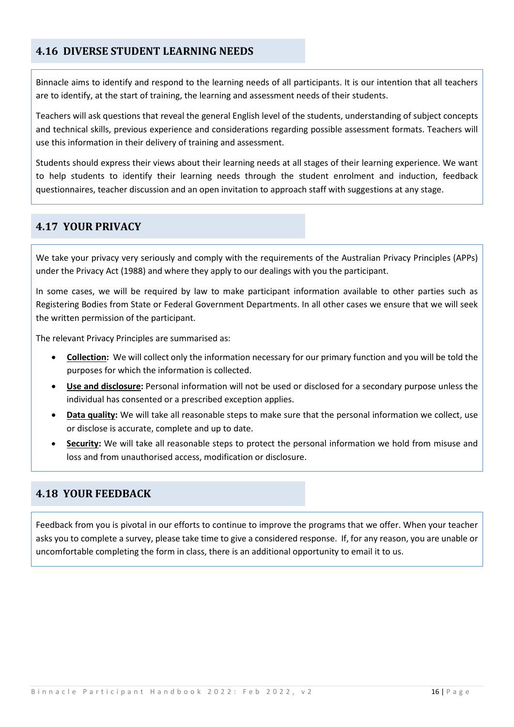#### <span id="page-15-0"></span>**4.16 DIVERSE STUDENT LEARNING NEEDS**

Binnacle aims to identify and respond to the learning needs of all participants. It is our intention that all teachers are to identify, at the start of training, the learning and assessment needs of their students.

Teachers will ask questions that reveal the general English level of the students, understanding of subject concepts and technical skills, previous experience and considerations regarding possible assessment formats. Teachers will use this information in their delivery of training and assessment.

Students should express their views about their learning needs at all stages of their learning experience. We want to help students to identify their learning needs through the student enrolment and induction, feedback questionnaires, teacher discussion and an open invitation to approach staff with suggestions at any stage.

#### <span id="page-15-1"></span>**4.17 YOUR PRIVACY**

We take your privacy very seriously and comply with the requirements of the Australian Privacy Principles (APPs) under the Privacy Act (1988) and where they apply to our dealings with you the participant.

In some cases, we will be required by law to make participant information available to other parties such as Registering Bodies from State or Federal Government Departments. In all other cases we ensure that we will seek the written permission of the participant.

The relevant Privacy Principles are summarised as:

- **Collection:** We will collect only the information necessary for our primary function and you will be told the purposes for which the information is collected.
- **Use and disclosure:** Personal information will not be used or disclosed for a secondary purpose unless the individual has consented or a prescribed exception applies.
- **Data quality:** We will take all reasonable steps to make sure that the personal information we collect, use or disclose is accurate, complete and up to date.
- **Security:** We will take all reasonable steps to protect the personal information we hold from misuse and loss and from unauthorised access, modification or disclosure.

#### <span id="page-15-2"></span>**4.18 YOUR FEEDBACK**

Feedback from you is pivotal in our efforts to continue to improve the programs that we offer. When your teacher asks you to complete a survey, please take time to give a considered response. If, for any reason, you are unable or uncomfortable completing the form in class, there is an additional opportunity to email it to us.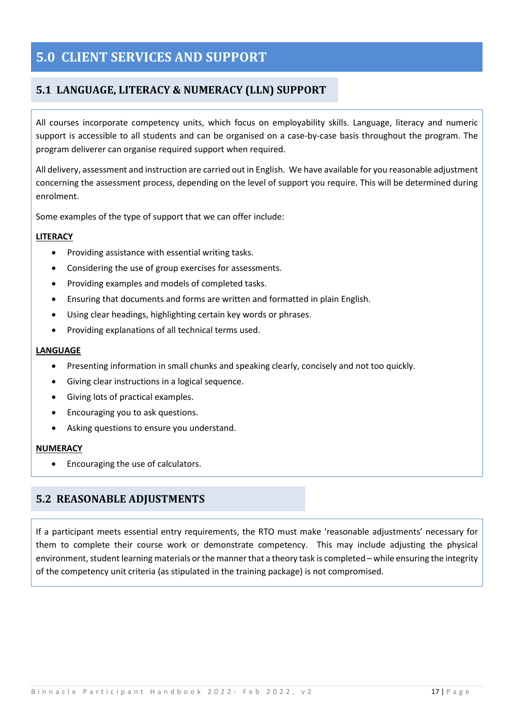## <span id="page-16-0"></span>**5.0 CLIENT SERVICES AND SUPPORT**

#### <span id="page-16-1"></span>**5.1 LANGUAGE, LITERACY & NUMERACY (LLN) SUPPORT**

All courses incorporate competency units, which focus on employability skills. Language, literacy and numeric support is accessible to all students and can be organised on a case-by-case basis throughout the program. The program deliverer can organise required support when required.

All delivery, assessment and instruction are carried out in English. We have available for you reasonable adjustment concerning the assessment process, depending on the level of support you require. This will be determined during enrolment.

Some examples of the type of support that we can offer include:

#### **LITERACY**

- Providing assistance with essential writing tasks.
- Considering the use of group exercises for assessments.
- Providing examples and models of completed tasks.
- Ensuring that documents and forms are written and formatted in plain English.
- Using clear headings, highlighting certain key words or phrases.
- Providing explanations of all technical terms used.

#### **LANGUAGE**

- Presenting information in small chunks and speaking clearly, concisely and not too quickly.
- Giving clear instructions in a logical sequence.
- Giving lots of practical examples.
- Encouraging you to ask questions.
- Asking questions to ensure you understand.

#### **NUMERACY**

• Encouraging the use of calculators.

#### <span id="page-16-2"></span>**5.2 REASONABLE ADJUSTMENTS**

If a participant meets essential entry requirements, the RTO must make 'reasonable adjustments' necessary for them to complete their course work or demonstrate competency. This may include adjusting the physical environment, student learning materials or the manner that a theory task is completed – while ensuring the integrity of the competency unit criteria (as stipulated in the training package) is not compromised.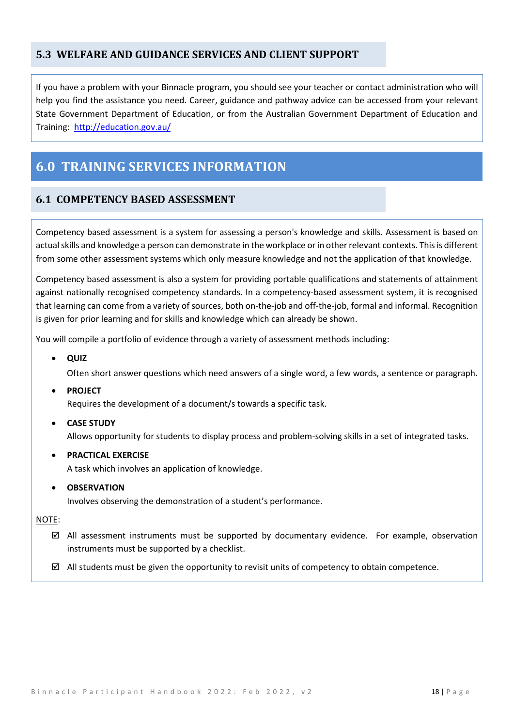#### <span id="page-17-0"></span>**5.3 WELFARE AND GUIDANCE SERVICES AND CLIENT SUPPORT**

If you have a problem with your Binnacle program, you should see your teacher or contact administration who will help you find the assistance you need. Career, guidance and pathway advice can be accessed from your relevant State Government Department of Education, or from the Australian Government Department of Education and Training: <http://education.gov.au/>

# <span id="page-17-1"></span>**6.0 TRAINING SERVICES INFORMATION**

#### <span id="page-17-2"></span>**6.1 COMPETENCY BASED ASSESSMENT**

Competency based assessment is a system for assessing a person's knowledge and skills. Assessment is based on actual skills and knowledge a person can demonstrate in the workplace or in other relevant contexts. This is different from some other assessment systems which only measure knowledge and not the application of that knowledge.

Competency based assessment is also a system for providing portable qualifications and statements of attainment against nationally recognised competency standards. In a competency-based assessment system, it is recognised that learning can come from a variety of sources, both on-the-job and off-the-job, formal and informal. Recognition is given for prior learning and for skills and knowledge which can already be shown.

You will compile a portfolio of evidence through a variety of assessment methods including:

• **QUIZ**

Often short answer questions which need answers of a single word, a few words, a sentence or paragraph**.**

• **PROJECT**

Requires the development of a document/s towards a specific task.

• **CASE STUDY**

Allows opportunity for students to display process and problem-solving skills in a set of integrated tasks.

• **PRACTICAL EXERCISE**

A task which involves an application of knowledge.

• **OBSERVATION**

Involves observing the demonstration of a student's performance.

NOTE:

- $\boxtimes$  All assessment instruments must be supported by documentary evidence. For example, observation instruments must be supported by a checklist.
- $\boxtimes$  All students must be given the opportunity to revisit units of competency to obtain competence.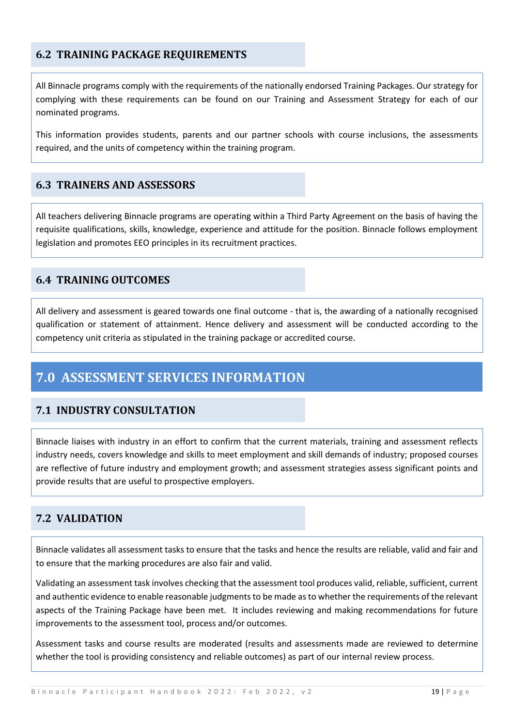#### <span id="page-18-0"></span>**6.2 TRAINING PACKAGE REQUIREMENTS**

All Binnacle programs comply with the requirements of the nationally endorsed Training Packages. Our strategy for complying with these requirements can be found on our Training and Assessment Strategy for each of our nominated programs.

This information provides students, parents and our partner schools with course inclusions, the assessments required, and the units of competency within the training program.

#### <span id="page-18-1"></span>**6.3 TRAINERS AND ASSESSORS**

All teachers delivering Binnacle programs are operating within a Third Party Agreement on the basis of having the requisite qualifications, skills, knowledge, experience and attitude for the position. Binnacle follows employment legislation and promotes EEO principles in its recruitment practices.

#### <span id="page-18-2"></span>**6.4 TRAINING OUTCOMES**

All delivery and assessment is geared towards one final outcome - that is, the awarding of a nationally recognised qualification or statement of attainment. Hence delivery and assessment will be conducted according to the competency unit criteria as stipulated in the training package or accredited course.

# <span id="page-18-3"></span>**7.0 ASSESSMENT SERVICES INFORMATION**

#### <span id="page-18-4"></span>**7.1 INDUSTRY CONSULTATION**

Binnacle liaises with industry in an effort to confirm that the current materials, training and assessment reflects industry needs, covers knowledge and skills to meet employment and skill demands of industry; proposed courses are reflective of future industry and employment growth; and assessment strategies assess significant points and provide results that are useful to prospective employers.

#### <span id="page-18-5"></span>**7.2 VALIDATION**

Binnacle validates all assessment tasks to ensure that the tasks and hence the results are reliable, valid and fair and to ensure that the marking procedures are also fair and valid.

Validating an assessment task involves checking that the assessment tool produces valid, reliable, sufficient, current and authentic evidence to enable reasonable judgments to be made as to whether the requirements of the relevant aspects of the Training Package have been met. It includes reviewing and making recommendations for future improvements to the assessment tool, process and/or outcomes.

Assessment tasks and course results are moderated (results and assessments made are reviewed to determine whether the tool is providing consistency and reliable outcomes) as part of our internal review process.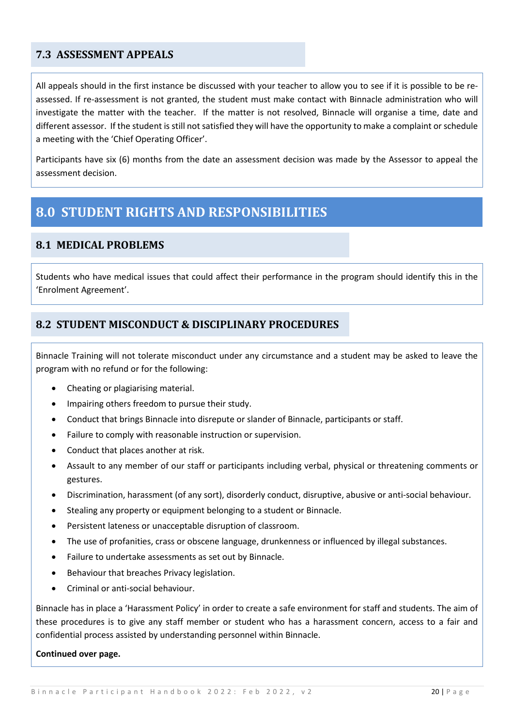#### <span id="page-19-0"></span>**7.3 ASSESSMENT APPEALS**

All appeals should in the first instance be discussed with your teacher to allow you to see if it is possible to be reassessed. If re-assessment is not granted, the student must make contact with Binnacle administration who will investigate the matter with the teacher. If the matter is not resolved, Binnacle will organise a time, date and different assessor. If the student is still not satisfied they will have the opportunity to make a complaint or schedule a meeting with the 'Chief Operating Officer'.

Participants have six (6) months from the date an assessment decision was made by the Assessor to appeal the assessment decision.

### <span id="page-19-1"></span>**8.0 STUDENT RIGHTS AND RESPONSIBILITIES**

#### <span id="page-19-2"></span>**8.1 MEDICAL PROBLEMS**

Students who have medical issues that could affect their performance in the program should identify this in the 'Enrolment Agreement'.

#### <span id="page-19-3"></span>**8.2 STUDENT MISCONDUCT & DISCIPLINARY PROCEDURES**

Binnacle Training will not tolerate misconduct under any circumstance and a student may be asked to leave the program with no refund or for the following:

- Cheating or plagiarising material.
- Impairing others freedom to pursue their study.
- Conduct that brings Binnacle into disrepute or slander of Binnacle, participants or staff.
- Failure to comply with reasonable instruction or supervision.
- Conduct that places another at risk.
- Assault to any member of our staff or participants including verbal, physical or threatening comments or gestures.
- Discrimination, harassment (of any sort), disorderly conduct, disruptive, abusive or anti-social behaviour.
- Stealing any property or equipment belonging to a student or Binnacle.
- Persistent lateness or unacceptable disruption of classroom.
- The use of profanities, crass or obscene language, drunkenness or influenced by illegal substances.
- Failure to undertake assessments as set out by Binnacle.
- Behaviour that breaches Privacy legislation.
- Criminal or anti-social behaviour.

Binnacle has in place a 'Harassment Policy' in order to create a safe environment for staff and students. The aim of these procedures is to give any staff member or student who has a harassment concern, access to a fair and confidential process assisted by understanding personnel within Binnacle.

#### **Continued over page.**